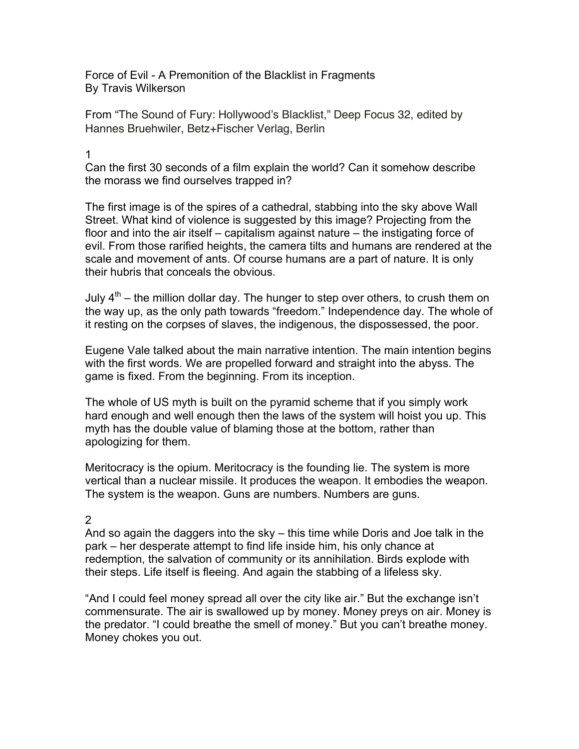Force of Evil - A Premonition of the Blacklist in Fragments By Travis Wilkerson

From "The Sound of Fury: Hollywood's Blacklist," Deep Focus 32, edited by Hannes Bruehwiler, Betz+Fischer Verlag, Berlin

## 1

Can the first 30 seconds of a film explain the world? Can it somehow describe the morass we find ourselves trapped in?

The first image is of the spires of a cathedral, stabbing into the sky above Wall Street. What kind of violence is suggested by this image? Projecting from the floor and into the air itself – capitalism against nature – the instigating force of evil. From those rarified heights, the camera tilts and humans are rendered at the scale and movement of ants. Of course humans are a part of nature. It is only their hubris that conceals the obvious.

July  $4<sup>th</sup>$  – the million dollar day. The hunger to step over others, to crush them on the way up, as the only path towards "freedom." Independence day. The whole of it resting on the corpses of slaves, the indigenous, the dispossessed, the poor.

Eugene Vale talked about the main narrative intention. The main intention begins with the first words. We are propelled forward and straight into the abyss. The game is fixed. From the beginning. From its inception.

The whole of US myth is built on the pyramid scheme that if you simply work hard enough and well enough then the laws of the system will hoist you up. This myth has the double value of blaming those at the bottom, rather than apologizing for them.

Meritocracy is the opium. Meritocracy is the founding lie. The system is more vertical than a nuclear missile. It produces the weapon. It embodies the weapon. The system is the weapon. Guns are numbers. Numbers are guns.

## 2

And so again the daggers into the sky – this time while Doris and Joe talk in the park – her desperate attempt to find life inside him, his only chance at redemption, the salvation of community or its annihilation. Birds explode with their steps. Life itself is fleeing. And again the stabbing of a lifeless sky.

"And I could feel money spread all over the city like air." But the exchange isn't commensurate. The air is swallowed up by money. Money preys on air. Money is the predator. "I could breathe the smell of money." But you can't breathe money. Money chokes you out.